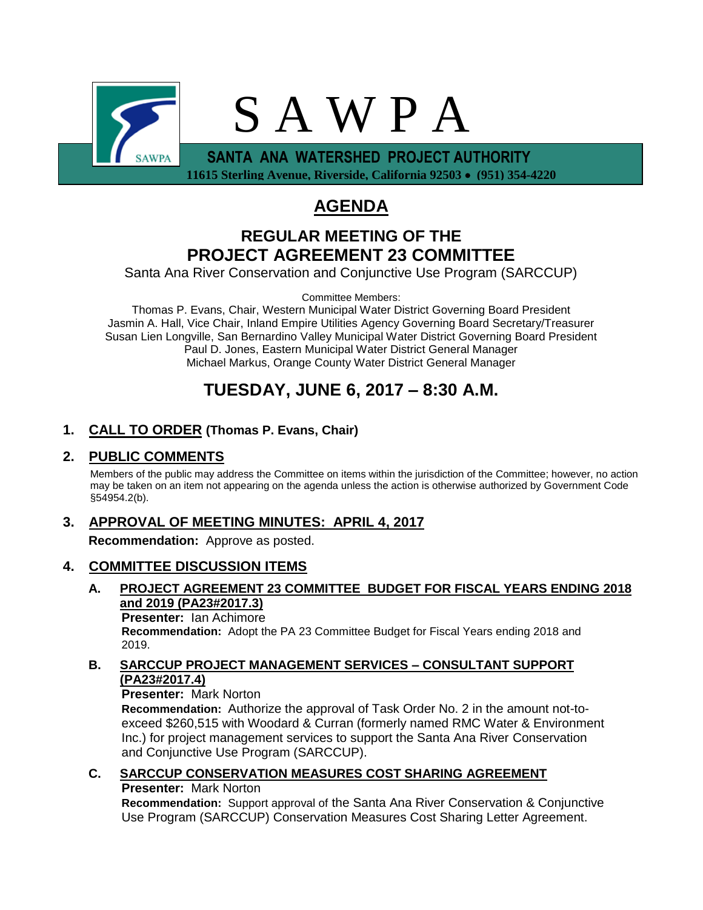

 **11615 Sterling Avenue, Riverside, California 92503 (951) 354-4220**

# **AGENDA**

# **REGULAR MEETING OF THE PROJECT AGREEMENT 23 COMMITTEE**

Santa Ana River Conservation and Conjunctive Use Program (SARCCUP)

Committee Members:

Thomas P. Evans, Chair, Western Municipal Water District Governing Board President Jasmin A. Hall, Vice Chair, Inland Empire Utilities Agency Governing Board Secretary/Treasurer Susan Lien Longville, San Bernardino Valley Municipal Water District Governing Board President Paul D. Jones, Eastern Municipal Water District General Manager Michael Markus, Orange County Water District General Manager

# **TUESDAY, JUNE 6, 2017 – 8:30 A.M.**

# **1. CALL TO ORDER (Thomas P. Evans, Chair)**

### **2. PUBLIC COMMENTS**

Members of the public may address the Committee on items within the jurisdiction of the Committee; however, no action may be taken on an item not appearing on the agenda unless the action is otherwise authorized by Government Code §54954.2(b).

## **3. APPROVAL OF MEETING MINUTES: APRIL 4, 2017**

**Recommendation:** Approve as posted.

## **4. COMMITTEE DISCUSSION ITEMS**

**A. PROJECT AGREEMENT 23 COMMITTEE BUDGET FOR FISCAL YEARS ENDING 2018 and 2019 (PA23#2017.3)**

**Presenter:** Ian Achimore **Recommendation:** Adopt the PA 23 Committee Budget for Fiscal Years ending 2018 and 2019.

**B. SARCCUP PROJECT MANAGEMENT SERVICES – CONSULTANT SUPPORT (PA23#2017.4)**

**Presenter:** Mark Norton

**Recommendation:** Authorize the approval of Task Order No. 2 in the amount not-toexceed \$260,515 with Woodard & Curran (formerly named RMC Water & Environment Inc.) for project management services to support the Santa Ana River Conservation and Conjunctive Use Program (SARCCUP).

## **C. SARCCUP CONSERVATION MEASURES COST SHARING AGREEMENT Presenter:** Mark Norton

**Recommendation:** Support approval of the Santa Ana River Conservation & Conjunctive Use Program (SARCCUP) Conservation Measures Cost Sharing Letter Agreement.